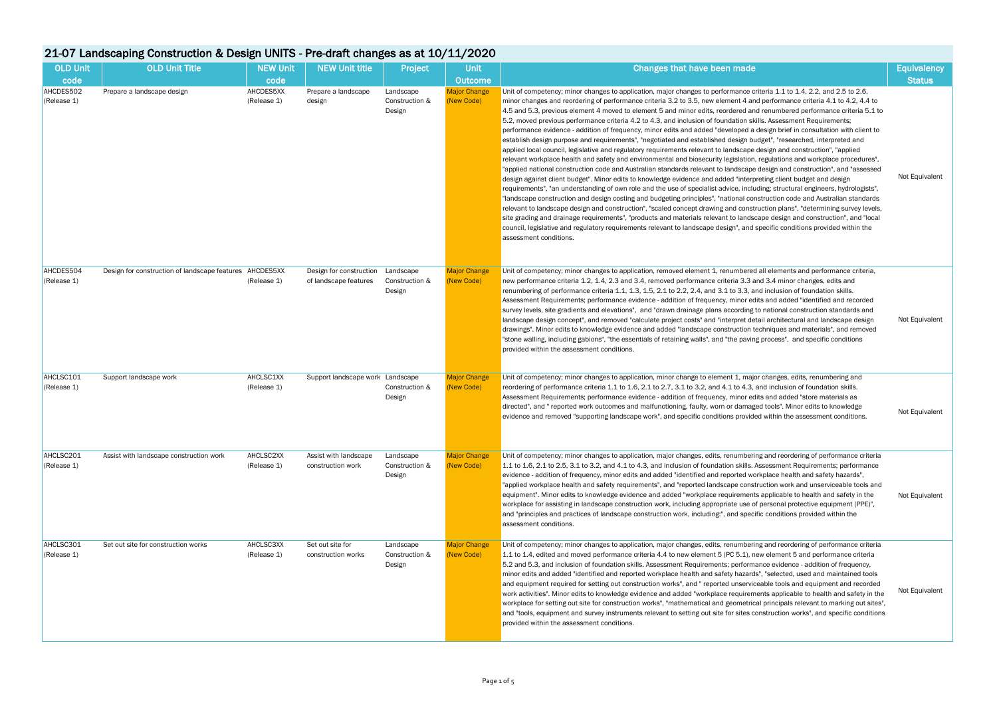## 21-07 Landscaping Construction & Design UNITS - Pre-draft changes as at 10/11/2020

| <b>OLD Unit</b>          | 21-07 Landscaping Construction & Design UNITS - Pre-draft changes as at 10/11/2020<br><b>OLD Unit Title</b> | <b>NEW Unit</b>          | <b>NEW Unit title</b>                                         |                                       | <b>Unit</b>                       |                                                                                                                                                                                                                                                                                                                                                                                                                                                                                                                                                                                                                                                                                                                                                                                                                                                                                                                                                                                                                                                                                                                                                                                                                                                                                                                                                                                                                                                                                                                                                                                                                                                                                                                                                                                                                                                                                                                                                                     | <b>Equivalency</b> |
|--------------------------|-------------------------------------------------------------------------------------------------------------|--------------------------|---------------------------------------------------------------|---------------------------------------|-----------------------------------|---------------------------------------------------------------------------------------------------------------------------------------------------------------------------------------------------------------------------------------------------------------------------------------------------------------------------------------------------------------------------------------------------------------------------------------------------------------------------------------------------------------------------------------------------------------------------------------------------------------------------------------------------------------------------------------------------------------------------------------------------------------------------------------------------------------------------------------------------------------------------------------------------------------------------------------------------------------------------------------------------------------------------------------------------------------------------------------------------------------------------------------------------------------------------------------------------------------------------------------------------------------------------------------------------------------------------------------------------------------------------------------------------------------------------------------------------------------------------------------------------------------------------------------------------------------------------------------------------------------------------------------------------------------------------------------------------------------------------------------------------------------------------------------------------------------------------------------------------------------------------------------------------------------------------------------------------------------------|--------------------|
| code                     |                                                                                                             | code                     |                                                               | Project                               | <b>Outcome</b>                    | Changes that have been made                                                                                                                                                                                                                                                                                                                                                                                                                                                                                                                                                                                                                                                                                                                                                                                                                                                                                                                                                                                                                                                                                                                                                                                                                                                                                                                                                                                                                                                                                                                                                                                                                                                                                                                                                                                                                                                                                                                                         | <b>Status</b>      |
| AHCDES502<br>(Release 1) | Prepare a landscape design                                                                                  | AHCDES5XX<br>(Release 1) | Prepare a landscape<br>design                                 | Landscape<br>Construction &<br>Design | <b>Major Change</b><br>(New Code) | Unit of competency; minor changes to application, major changes to performance criteria 1.1 to 1.4, 2.2, and 2.5 to 2.6,<br>minor changes and reordering of performance criteria 3.2 to 3.5, new element 4 and performance criteria 4.1 to 4.2, 4.4 to<br>4.5 and 5.3, previous element 4 moved to element 5 and minor edits, reordered and renumbered performance criteria 5.1 to<br>5.2, moved previous performance criteria 4.2 to 4.3, and inclusion of foundation skills. Assessment Requirements;<br>performance evidence - addition of frequency, minor edits and added "developed a design brief in consultation with client to<br>establish design purpose and requirements", "negotiated and established design budget", "researched, interpreted and<br>applied local council, legislative and regulatory requirements relevant to landscape design and construction", "applied<br>relevant workplace health and safety and environmental and biosecurity legislation, regulations and workplace procedures",<br>"applied national construction code and Australian standards relevant to landscape design and construction", and "assessed<br>design against client budget". Minor edits to knowledge evidence and added "interpreting client budget and design<br>requirements", "an understanding of own role and the use of specialist advice, including; structural engineers, hydrologists",<br>"landscape construction and design costing and budgeting principles", "national construction code and Australian standards<br>relevant to landscape design and construction", "scaled concept drawing and construction plans", "determining survey levels,<br>site grading and drainage requirements", "products and materials relevant to landscape design and construction", and "local<br>council, legislative and regulatory requirements relevant to landscape design", and specific conditions provided within the<br>assessment conditions. | Not Equivalent     |
| AHCDES504<br>(Release 1) | Design for construction of landscape features AHCDES5XX                                                     | (Release 1)              | Design for construction    Landscape<br>of landscape features | Construction &<br>Design              | <b>Major Change</b><br>(New Code) | Unit of competency; minor changes to application, removed element 1, renumbered all elements and performance criteria,<br>new performance criteria 1.2, 1.4, 2.3 and 3.4, removed performance criteria 3.3 and 3.4 minor changes, edits and<br>renumbering of performance criteria 1.1, 1.3, 1.5, 2.1 to 2.2, 2.4, and 3.1 to 3.3, and inclusion of foundation skills.<br>Assessment Requirements; performance evidence - addition of frequency, minor edits and added "identified and recorded<br>survey levels, site gradients and elevations", and "drawn drainage plans according to national construction standards and<br>landscape design concept", and removed "calculate project costs" and "interpret detail architectural and landscape design<br>drawings". Minor edits to knowledge evidence and added "landscape construction techniques and materials", and removed<br>"stone walling, including gabions", "the essentials of retaining walls", and "the paving process", and specific conditions<br>provided within the assessment conditions.                                                                                                                                                                                                                                                                                                                                                                                                                                                                                                                                                                                                                                                                                                                                                                                                                                                                                                      | Not Equivalent     |
| AHCLSC101<br>(Release 1) | Support landscape work                                                                                      | AHCLSC1XX<br>(Release 1) | Support landscape work Landscape                              | Construction &<br>Design              | <b>Major Change</b><br>(New Code) | Unit of competency; minor changes to application, minor change to element 1, major changes, edits, renumbering and<br>reordering of performance criteria 1.1 to 1.6, 2.1 to 2.7, 3.1 to 3.2, and 4.1 to 4.3, and inclusion of foundation skills.<br>Assessment Requirements; performance evidence - addition of frequency, minor edits and added "store materials as<br>directed", and " reported work outcomes and malfunctioning, faulty, worn or damaged tools". Minor edits to knowledge<br>evidence and removed "supporting landscape work", and specific conditions provided within the assessment conditions.                                                                                                                                                                                                                                                                                                                                                                                                                                                                                                                                                                                                                                                                                                                                                                                                                                                                                                                                                                                                                                                                                                                                                                                                                                                                                                                                                | Not Equivalent     |
| AHCLSC201<br>(Release 1) | Assist with landscape construction work                                                                     | AHCLSC2XX<br>(Release 1) | Assist with landscape<br>construction work                    | Landscape<br>Construction &<br>Design | <b>Major Change</b><br>(New Code) | Unit of competency; minor changes to application, major changes, edits, renumbering and reordering of performance criteria<br>1.1 to 1.6, 2.1 to 2.5, 3.1 to 3.2, and 4.1 to 4.3, and inclusion of foundation skills. Assessment Requirements; performance<br>evidence - addition of frequency, minor edits and added "identified and reported workplace health and safety hazards",<br>"applied workplace health and safety requirements", and "reported landscape construction work and unserviceable tools and<br>equipment". Minor edits to knowledge evidence and added "workplace requirements applicable to health and safety in the<br>workplace for assisting in landscape construction work, including appropriate use of personal protective equipment (PPE)",<br>and "principles and practices of landscape construction work, including:", and specific conditions provided within the<br>assessment conditions.                                                                                                                                                                                                                                                                                                                                                                                                                                                                                                                                                                                                                                                                                                                                                                                                                                                                                                                                                                                                                                       | Not Equivalent     |
| AHCLSC301<br>(Release 1) | Set out site for construction works                                                                         | AHCLSC3XX<br>(Release 1) | Set out site for<br>construction works                        | Landscape<br>Construction &<br>Design | <b>Major Change</b><br>(New Code) | Unit of competency; minor changes to application, major changes, edits, renumbering and reordering of performance criteria<br>1.1 to 1.4, edited and moved performance criteria 4.4 to new element 5 (PC 5.1), new element 5 and performance criteria<br>5.2 and 5.3, and inclusion of foundation skills. Assessment Requirements; performance evidence - addition of frequency,<br>minor edits and added "identified and reported workplace health and safety hazards", "selected, used and maintained tools<br>and equipment required for setting out construction works", and " reported unserviceable tools and equipment and recorded<br>work activities". Minor edits to knowledge evidence and added "workplace requirements applicable to health and safety in the<br>workplace for setting out site for construction works", "mathematical and geometrical principals relevant to marking out sites",<br>and "tools, equipment and survey instruments relevant to setting out site for sites construction works", and specific conditions<br>provided within the assessment conditions.                                                                                                                                                                                                                                                                                                                                                                                                                                                                                                                                                                                                                                                                                                                                                                                                                                                                    | Not Equivalent     |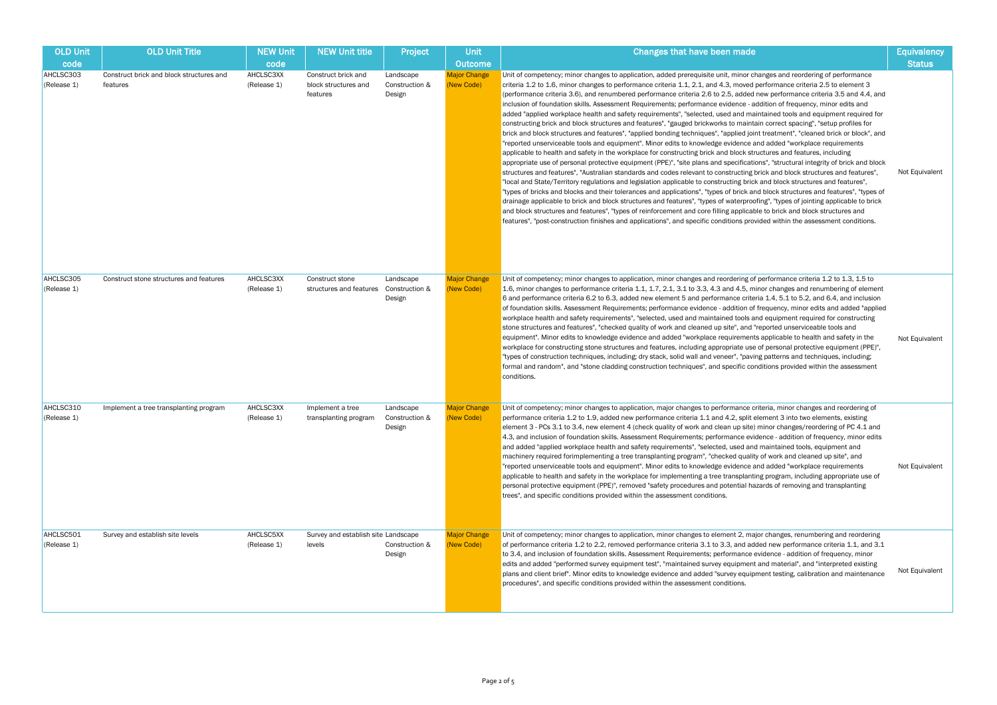## Changes that have been made Equivalency and Equivalency **Status** anges to application, added prerequisite unit, minor changes and reordering of performance nges to performance criteria 1.1, 2.1, and 4.3, moved performance criteria 2.5 to element 3 (performance criteria 2.6 to 2.5, added new performance criteria 3.5 and 4.4, and Assessment Requirements; performance evidence - addition of frequency, minor edits and alth and safety requirements", "selected, used and maintained tools and equipment required for structures and features", "gauged brickworks to maintain correct spacing", "setup profiles for d features", "applied bonding techniques", "applied joint treatment", "cleaned brick or block", and and equipment". Minor edits to knowledge evidence and added "workplace requirements ty in the workplace for constructing brick and block structures and features, including rotective equipment (PPE)", "site plans and specifications", "structural integrity of brick and block stralian standards and codes relevant to constructing brick and block structures and features", ulations and legislation applicable to constructing brick and block structures and features", nd their tolerances and applications", "types of brick and block structures and features", "types of and block structures and features", "types of waterproofing", "types of jointing applicable to brick ures", "types of reinforcement and core filling applicable to brick and block structures and inishes and applications", and specific conditions provided within the assessment conditions. Not Equivalent ianges to application, minor changes and reordering of performance criteria 1.2 to 1.3, 1.5 to nance criteria 1.1, 1.7, 2.1, 3.1 to 3.3, 4.3 and 4.5, minor changes and renumbering of element .2 to 6.3, added new element 5 and performance criteria 1.4, 5.1 to 5.2, and 6.4, and inclusion ent Requirements; performance evidence - addition of frequency, minor edits and added "applied requirements", "selected, used and maintained tools and equipment required for constructing s", "checked quality of work and cleaned up site", and "reported unserviceable tools and nowledge evidence and added "workplace requirements applicable to health and safety in the one structures and features, including appropriate use of personal protective equipment (PPE)", ues, including; dry stack, solid wall and veneer", "paving patterns and techniques, including; ne cladding construction techniques", and specific conditions provided within the assessment Not Equivalent ianges to application, major changes to performance criteria, minor changes and reordering of .9, added new performance criteria 1.1 and 4.2, split element 3 into two elements, existing ew element 4 (check quality of work and clean up site) minor changes/reordering of PC 4.1 and ion skills. Assessment Requirements; performance evidence - addition of frequency, minor edits e health and safety requirements", "selected, used and maintained tools, equipment and nenting a tree transplanting program", "checked quality of work and cleaned up site", and and equipment". Minor edits to knowledge evidence and added "workplace requirements ty in the workplace for implementing a tree transplanting program, including appropriate use of nt (PPE)", removed "safety procedures and potential hazards of removing and transplanting provided within the assessment conditions. Not Equivalent

| <b>OLD Unit</b><br>code  | <b>OLD Unit Title</b>                                | <b>NEW Unit</b><br>code  | <b>NEW Unit title</b>                                   | Project                               | <b>Unit</b><br><b>Outcome</b>     |                                                                                                                                                                                                                                                                                                                                                                                                                                                                                                                                                              |
|--------------------------|------------------------------------------------------|--------------------------|---------------------------------------------------------|---------------------------------------|-----------------------------------|--------------------------------------------------------------------------------------------------------------------------------------------------------------------------------------------------------------------------------------------------------------------------------------------------------------------------------------------------------------------------------------------------------------------------------------------------------------------------------------------------------------------------------------------------------------|
| AHCLSC303<br>(Release 1) | Construct brick and block structures and<br>features | AHCLSC3XX<br>(Release 1) | Construct brick and<br>block structures and<br>features | Landscape<br>Construction &<br>Design | <b>Major Change</b><br>(New Code) | Unit of competency; minor cha<br>criteria 1.2 to 1.6, minor chan<br>(performance criteria 3.6), and<br>inclusion of foundation skills.<br>added "applied workplace hea<br>constructing brick and block s<br>brick and block structures and<br>"reported unserviceable tools<br>applicable to health and safet<br>appropriate use of personal pi<br>structures and features", "Aus<br>"local and State/Territory regu<br>"types of bricks and blocks an<br>drainage applicable to brick a<br>and block structures and feat<br>features", "post-construction f |
| AHCLSC305<br>(Release 1) | Construct stone structures and features              | AHCLSC3XX<br>(Release 1) | Construct stone<br>structures and features              | Landscape<br>Construction &<br>Design | <b>Major Change</b><br>(New Code) | Unit of competency; minor cha<br>1.6, minor changes to perform<br>6 and performance criteria 6.<br>of foundation skills. Assessme<br>workplace health and safety re<br>stone structures and features<br>equipment". Minor edits to kn<br>workplace for constructing sto<br>"types of construction techniq<br>formal and random", and "stor<br>conditions.                                                                                                                                                                                                    |
| AHCLSC310<br>(Release 1) | Implement a tree transplanting program               | AHCLSC3XX<br>(Release 1) | Implement a tree<br>transplanting program               | Landscape<br>Construction &<br>Design | <b>Major Change</b><br>(New Code) | Unit of competency; minor cha<br>performance criteria 1.2 to 1.<br>element 3 - PCs 3.1 to 3.4, ne<br>4.3, and inclusion of foundation<br>and added "applied workplace<br>machinery required forimplem<br>"reported unserviceable tools<br>applicable to health and safet<br>personal protective equipmen<br>trees", and specific conditions                                                                                                                                                                                                                  |
| AHCLSC501<br>(Release 1) | Survey and establish site levels                     | AHCLSC5XX<br>(Release 1) | Survey and establish site Landscape<br>levels           | Construction &<br>Design              | <b>Major Change</b><br>(New Code) | Unit of competency; minor cha<br>of performance criteria 1.2 to<br>to 3.4, and inclusion of founda<br>edits and added "performed s<br>plans and client brief". Minor<br>procedures", and specific con                                                                                                                                                                                                                                                                                                                                                        |

ianges to application, minor changes to element 2, major changes, renumbering and reordering  $\alpha$  2.2, removed performance criteria 3.1 to 3.3, and added new performance criteria 1.1, and 3.1 ation skills. Assessment Requirements; performance evidence - addition of frequency, minor survey equipment test", "maintained survey equipment and material", and "interpreted existing edits to knowledge evidence and added "survey equipment testing, calibration and maintenance ditions provided within the assessment conditions. Not Equivalent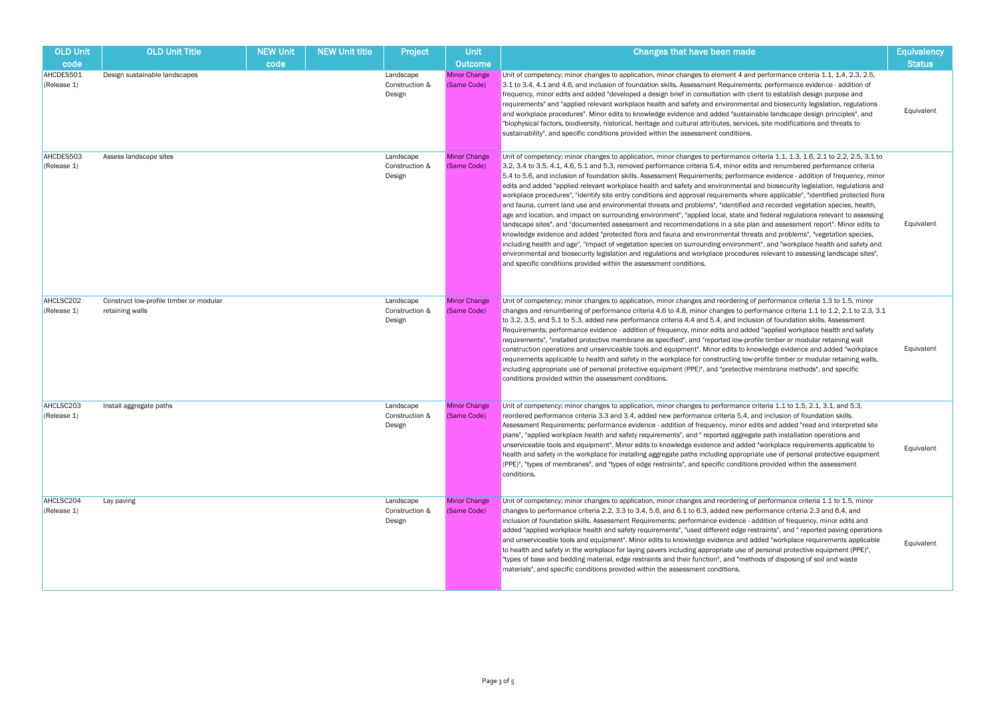| <b>OLD Unit</b><br>code  | <b>OLD Unit Title</b>                                      | <b>NEW Unit</b><br>code | <b>NEW Unit title</b> | Project                               | <b>Unit</b><br><b>Outcome</b>      | Changes that have been made                                                                                                                                                                                                                                                                                                                                                                                                                                                                                                                                                                                                                                                                                                                                                                                                                                                                                                                                                                                                                                                                                                                                                                                                                                                                                                                                                                                                                                                                                       | <b>Equivalency</b><br><b>Status</b> |
|--------------------------|------------------------------------------------------------|-------------------------|-----------------------|---------------------------------------|------------------------------------|-------------------------------------------------------------------------------------------------------------------------------------------------------------------------------------------------------------------------------------------------------------------------------------------------------------------------------------------------------------------------------------------------------------------------------------------------------------------------------------------------------------------------------------------------------------------------------------------------------------------------------------------------------------------------------------------------------------------------------------------------------------------------------------------------------------------------------------------------------------------------------------------------------------------------------------------------------------------------------------------------------------------------------------------------------------------------------------------------------------------------------------------------------------------------------------------------------------------------------------------------------------------------------------------------------------------------------------------------------------------------------------------------------------------------------------------------------------------------------------------------------------------|-------------------------------------|
| AHCDES501<br>(Release 1) | Design sustainable landscapes                              |                         |                       | Landscape<br>Construction &<br>Design | <b>Minor Change</b><br>(Same Code) | Unit of competency; minor changes to application, minor changes to element 4 and performance criteria 1.1, 1.4, 2.3, 2.5,<br>3.1 to 3.4, 4.1 and 4.6, and inclusion of foundation skills. Assessment Requirements; performance evidence - addition of<br>frequency, minor edits and added "developed a design brief in consultation with client to establish design purpose and<br>requirements" and "applied relevant workplace health and safety and environmental and biosecurity legislation, regulations<br>and workplace procedures". Minor edits to knowledge evidence and added "sustainable landscape design principles", and<br>"biophysical factors, biodiversity, historical, heritage and cultural attributes, services, site modifications and threats to<br>sustainability", and specific conditions provided within the assessment conditions.                                                                                                                                                                                                                                                                                                                                                                                                                                                                                                                                                                                                                                                    | Equivalent                          |
| AHCDES503<br>(Release 1) | Assess landscape sites                                     |                         |                       | Landscape<br>Construction &<br>Design | <b>Minor Change</b><br>(Same Code) | Unit of competency; minor changes to application, minor changes to performance criteria 1.1, 1.3, 1.6, 2.1 to 2.2, 2.5, 3.1 to<br>3.2, 3.4 to 3.5, 4.1, 4.6, 5.1 and 5.3, removed performance criteria 5.4, minor edits and renumbered performance criteria<br>5.4 to 5.6, and inclusion of foundation skills. Assessment Requirements; performance evidence - addition of frequency, minor<br>edits and added "applied relevant workplace health and safety and environmental and biosecurity legislation, regulations and<br>workplace procedures", "identify site entry conditions and approval requirements where applicable", "identified protected flora<br>and fauna, current land use and environmental threats and problems", "identified and recorded vegetation species, health,<br>age and location, and impact on surrounding environment", "applied local, state and federal regulations relevant to assessing<br>landscape sites", and "documented assessment and recommendations in a site plan and assessment report". Minor edits to<br>knowledge evidence and added "protected flora and fauna and environmental threats and problems", "vegetation species,<br>including health and age", "impact of vegetation species on surrounding environment", and "workplace health and safety and<br>environmental and biosecurity legislation and regulations and workplace procedures relevant to assessing landscape sites",<br>and specific conditions provided within the assessment conditions. | Equivalent                          |
| AHCLSC202<br>(Release 1) | Construct low-profile timber or modular<br>retaining walls |                         |                       | Landscape<br>Construction &<br>Design | <b>Minor Change</b><br>(Same Code) | Unit of competency; minor changes to application, minor changes and reordering of performance criteria 1.3 to 1.5, minor<br>changes and renumbering of performance criteria 4.6 to 4.8, minor changes to performance criteria 1.1 to 1.2, 2.1 to 2.3, 3.1<br>to 3.2, 3.5, and 5.1 to 5.3, added new performance criteria 4.4 and 5.4, and inclusion of foundation skills. Assessment<br>Requirements; performance evidence - addition of frequency, minor edits and added "applied workplace health and safety<br>requirements", "installed protective membrane as specified", and "reported low-profile timber or modular retaining wall<br>construction operations and unserviceable tools and equipment". Minor edits to knowledge evidence and added "workplace<br>requirements applicable to health and safety in the workplace for constructing low-profile timber or modular retaining walls,<br>including appropriate use of personal protective equipment (PPE)", and "pretective membrane methods", and specific<br>conditions provided within the assessment conditions.                                                                                                                                                                                                                                                                                                                                                                                                                               | Equivalent                          |
| AHCLSC203<br>(Release 1) | Install aggregate paths                                    |                         |                       | Landscape<br>Construction &<br>Design | <b>Minor Change</b><br>(Same Code) | Unit of competency; minor changes to application, minor changes to performance criteria 1.1 to 1.5, 2.1, 3.1, and 5.3,<br>reordered performance criteria 3.3 and 3.4, added new performance criteria 5.4, and inclusion of foundation skills.<br>Assessment Requirements; performance evidence - addition of frequency, minor edits and added "read and interpreted site<br>plans", "applied workplace health and safety requirements", and " reported aggregate path installation operations and<br>unserviceable tools and equipment". Minor edits to knowledge evidence and added "workplace requirements applicable to<br>health and safety in the workplace for installing aggregate paths including appropriate use of personal protective equipment<br>(PPE)", "types of membranes", and "types of edge restraints", and specific conditions provided within the assessment<br>conditions.                                                                                                                                                                                                                                                                                                                                                                                                                                                                                                                                                                                                                 | Equivalent                          |
| AHCLSC204<br>(Release 1) | Lay paving                                                 |                         |                       | Landscape<br>Construction &<br>Design | <b>Minor Change</b><br>(Same Code) | Unit of competency; minor changes to application, minor changes and reordering of performance criteria 1.1 to 1.5, minor<br>changes to performance criteria 2.2, 3.3 to 3.4, 5.6, and 6.1 to 6.3, added new performance criteria 2.3 and 6.4, and<br>inclusion of foundation skills. Assessment Requirements; performance evidence - addition of frequency, minor edits and<br>added "applied workplace health and safety requirements", "used different edge restraints", and " reported paving operations<br>and unserviceable tools and equipment". Minor edits to knowledge evidence and added "workplace requirements applicable<br>to health and safety in the workplace for laying pavers including appropriate use of personal protective equipment (PPE)",<br>"types of base and bedding material, edge restraints and their function", and "methods of disposing of soil and waste<br>materials", and specific conditions provided within the assessment conditions.                                                                                                                                                                                                                                                                                                                                                                                                                                                                                                                                    | Equivalent                          |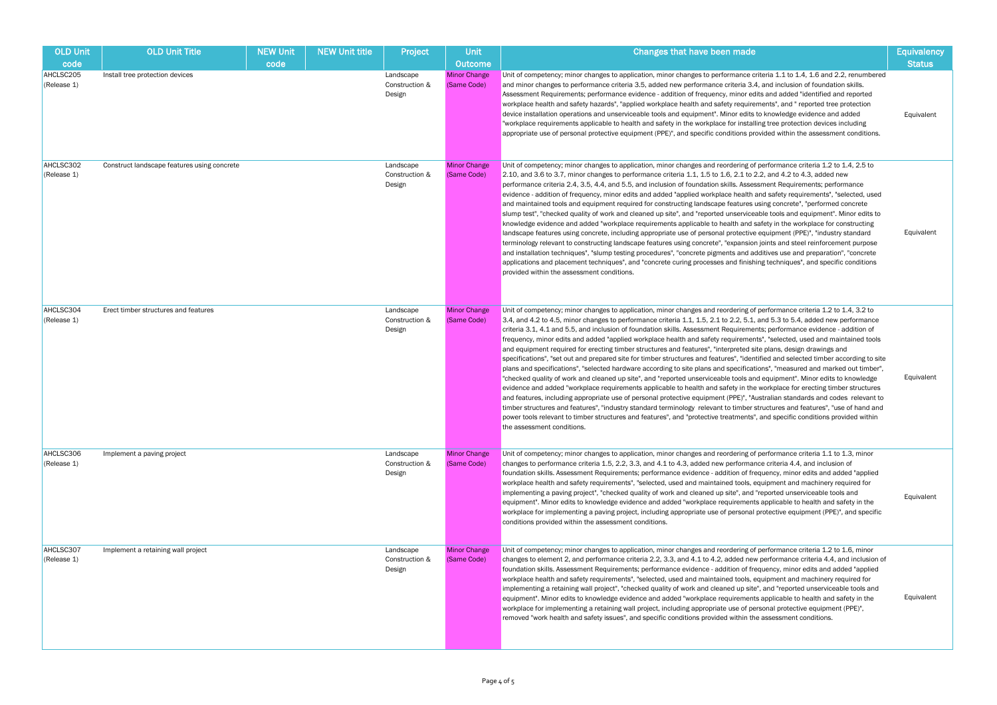| <b>OLD Unit</b><br>code  | <b>OLD Unit Title</b>                       | <b>NEW Unit</b><br>code | NEW Unit title | Project                               | Unit<br><b>Outcome</b>             | Changes that have been made                                                                                                                                                                                                                                                                                                                                                                                                                                                                                                                                                                                                                                                                                                                                                                                                                                                                                                                                                                                                                                                                                                                                                                                                                                                                                                                                                                                                                                                                                                                                                                               | <b>Equivalency</b><br><b>Status</b> |
|--------------------------|---------------------------------------------|-------------------------|----------------|---------------------------------------|------------------------------------|-----------------------------------------------------------------------------------------------------------------------------------------------------------------------------------------------------------------------------------------------------------------------------------------------------------------------------------------------------------------------------------------------------------------------------------------------------------------------------------------------------------------------------------------------------------------------------------------------------------------------------------------------------------------------------------------------------------------------------------------------------------------------------------------------------------------------------------------------------------------------------------------------------------------------------------------------------------------------------------------------------------------------------------------------------------------------------------------------------------------------------------------------------------------------------------------------------------------------------------------------------------------------------------------------------------------------------------------------------------------------------------------------------------------------------------------------------------------------------------------------------------------------------------------------------------------------------------------------------------|-------------------------------------|
| AHCLSC205<br>(Release 1) | Install tree protection devices             |                         |                | Landscape<br>Construction &<br>Design | <b>Minor Change</b><br>(Same Code) | Unit of competency; minor changes to application, minor changes to performance criteria 1.1 to 1.4, 1.6 and 2.2, renumbered<br>and minor changes to performance criteria 3.5, added new performance criteria 3.4, and inclusion of foundation skills.<br>Assessment Requirements; performance evidence - addition of frequency, minor edits and added "identified and reported<br>workplace health and safety hazards", "applied workplace health and safety requirements", and " reported tree protection<br>device installation operations and unserviceable tools and equipment". Minor edits to knowledge evidence and added<br>"workplace requirements applicable to health and safety in the workplace for installing tree protection devices including<br>appropriate use of personal protective equipment (PPE)", and specific conditions provided within the assessment conditions.                                                                                                                                                                                                                                                                                                                                                                                                                                                                                                                                                                                                                                                                                                              | Equivalent                          |
| AHCLSC302<br>(Release 1) | Construct landscape features using concrete |                         |                | Landscape<br>Construction &<br>Design | <b>Minor Change</b><br>(Same Code) | Unit of competency; minor changes to application, minor changes and reordering of performance criteria 1.2 to 1.4, 2.5 to<br>2.10, and 3.6 to 3.7, minor changes to performance criteria 1.1, 1.5 to 1.6, 2.1 to 2.2, and 4.2 to 4.3, added new<br>performance criteria 2.4, 3.5, 4.4, and 5.5, and inclusion of foundation skills. Assessment Requirements; performance<br>evidence - addition of frequency, minor edits and added "applied workplace health and safety requirements", "selected, used<br>and maintained tools and equipment required for constructing landscape features using concrete", "performed concrete"<br>slump test", "checked quality of work and cleaned up site", and "reported unserviceable tools and equipment". Minor edits to<br>knowledge evidence and added "workplace requirements applicable to health and safety in the workplace for constructing<br>landscape features using concrete, including appropriate use of personal protective equipment (PPE)", "industry standard<br>terminology relevant to constructing landscape features using concrete", "expansion joints and steel reinforcement purpose<br>and installation techniques", "slump testing procedures", "concrete pigments and additives use and preparation", "concrete<br>applications and placement techniques", and "concrete curing processes and finishing techniques", and specific conditions<br>provided within the assessment conditions.                                                                                                                                             | Equivalent                          |
| AHCLSC304<br>(Release 1) | Erect timber structures and features        |                         |                | Landscape<br>Construction &<br>Design | <b>Minor Change</b><br>(Same Code) | Unit of competency; minor changes to application, minor changes and reordering of performance criteria 1.2 to 1.4, 3.2 to<br>3.4, and 4.2 to 4.5, minor changes to performance criteria 1.1, 1.5, 2.1 to 2.2, 5.1, and 5.3 to 5.4, added new performance<br>criteria 3.1, 4.1 and 5.5, and inclusion of foundation skills. Assessment Requirements; performance evidence - addition of<br>frequency, minor edits and added "applied workplace health and safety requirements", "selected, used and maintained tools<br>and equipment required for erecting timber structures and features", "interpreted site plans, design drawings and<br>specifications", "set out and prepared site for timber structures and features", "identified and selected timber according to site<br>plans and specifications", "selected hardware according to site plans and specifications", "measured and marked out timber",<br>"checked quality of work and cleaned up site", and "reported unserviceable tools and equipment". Minor edits to knowledge<br>evidence and added "workplace requirements applicable to health and safety in the workplace for erecting timber structures<br>and features, including appropriate use of personal protective equipment (PPE)", "Australian standards and codes relevant to<br>timber structures and features", "industry standard terminology relevant to timber structures and features", "use of hand and<br>power tools relevant to timber structures and features", and "protective treatments", and specific conditions provided within<br>the assessment conditions. | Equivalent                          |
| AHCLSC306<br>(Release 1) | Implement a paving project                  |                         |                | Landscape<br>Construction &<br>Design | <b>Minor Change</b><br>(Same Code) | Unit of competency; minor changes to application, minor changes and reordering of performance criteria 1.1 to 1.3, minor<br>changes to performance criteria 1.5, 2.2, 3.3, and 4.1 to 4.3, added new performance criteria 4.4, and inclusion of<br>foundation skills. Assessment Requirements; performance evidence - addition of frequency, minor edits and added "applied<br>workplace health and safety requirements", "selected, used and maintained tools, equipment and machinery required for<br>implementing a paving project", "checked quality of work and cleaned up site", and "reported unserviceable tools and<br>equipment". Minor edits to knowledge evidence and added "workplace requirements applicable to health and safety in the<br>workplace for implementing a paving project, including appropriate use of personal protective equipment (PPE)", and specific<br>conditions provided within the assessment conditions.                                                                                                                                                                                                                                                                                                                                                                                                                                                                                                                                                                                                                                                           | Equivalent                          |
| AHCLSC307<br>(Release 1) | Implement a retaining wall project          |                         |                | Landscape<br>Construction &<br>Design | <b>Minor Change</b><br>(Same Code) | Unit of competency; minor changes to application, minor changes and reordering of performance criteria 1.2 to 1.6, minor<br>changes to element 2, and performance criteria 2.2, 3.3, and 4.1 to 4.2, added new performance criteria 4.4, and inclusion of<br>foundation skills. Assessment Requirements; performance evidence - addition of frequency, minor edits and added "applied<br>workplace health and safety requirements", "selected, used and maintained tools, equipment and machinery required for<br>implementing a retaining wall project", "checked quality of work and cleaned up site", and "reported unserviceable tools and<br>equipment". Minor edits to knowledge evidence and added "workplace requirements applicable to health and safety in the<br>workplace for implementing a retaining wall project, including appropriate use of personal protective equipment (PPE)",<br>removed "work health and safety issues", and specific conditions provided within the assessment conditions.                                                                                                                                                                                                                                                                                                                                                                                                                                                                                                                                                                                        | Equivalent                          |